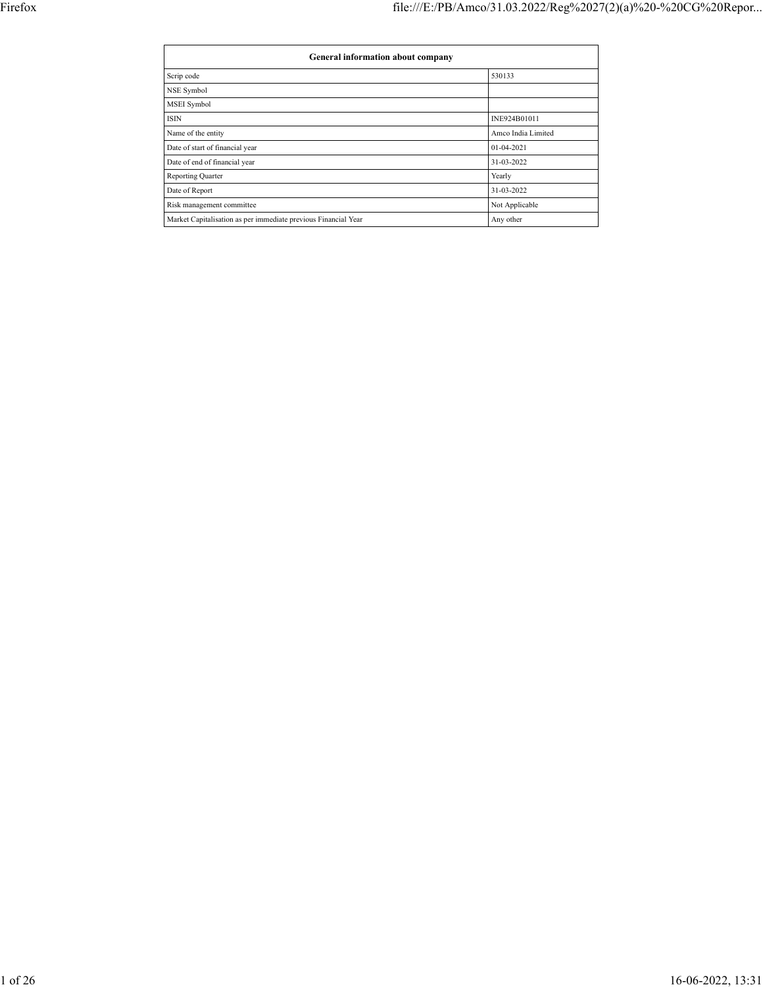| General information about company                              |                    |  |  |  |  |  |  |
|----------------------------------------------------------------|--------------------|--|--|--|--|--|--|
| Scrip code                                                     | 530133             |  |  |  |  |  |  |
| NSE Symbol                                                     |                    |  |  |  |  |  |  |
| MSEI Symbol                                                    |                    |  |  |  |  |  |  |
| <b>ISIN</b>                                                    | INE924B01011       |  |  |  |  |  |  |
| Name of the entity                                             | Amco India Limited |  |  |  |  |  |  |
| Date of start of financial year                                | 01-04-2021         |  |  |  |  |  |  |
| Date of end of financial year                                  | 31-03-2022         |  |  |  |  |  |  |
| Reporting Quarter                                              | Yearly             |  |  |  |  |  |  |
| Date of Report                                                 | 31-03-2022         |  |  |  |  |  |  |
| Risk management committee                                      | Not Applicable     |  |  |  |  |  |  |
| Market Capitalisation as per immediate previous Financial Year | Any other          |  |  |  |  |  |  |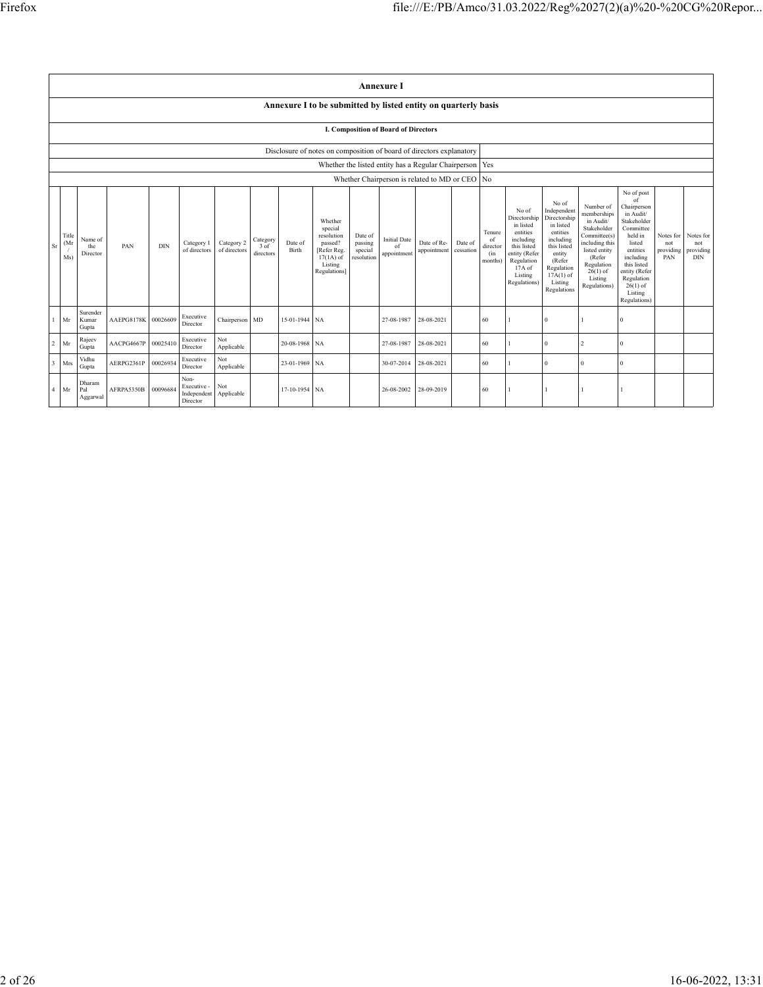|                         |                                                                      |                            |            |          |                                                |                            |                               |                  |                                                                                                      |                                             | <b>Annexure I</b>                        |                                                     |                      |                                            |                                                                                                                                                |                                                                                                                                                                      |                                                                                                                                                                          |                                                                                                                                                                                                               |                                      |                                             |
|-------------------------|----------------------------------------------------------------------|----------------------------|------------|----------|------------------------------------------------|----------------------------|-------------------------------|------------------|------------------------------------------------------------------------------------------------------|---------------------------------------------|------------------------------------------|-----------------------------------------------------|----------------------|--------------------------------------------|------------------------------------------------------------------------------------------------------------------------------------------------|----------------------------------------------------------------------------------------------------------------------------------------------------------------------|--------------------------------------------------------------------------------------------------------------------------------------------------------------------------|---------------------------------------------------------------------------------------------------------------------------------------------------------------------------------------------------------------|--------------------------------------|---------------------------------------------|
|                         |                                                                      |                            |            |          |                                                |                            |                               |                  | Annexure I to be submitted by listed entity on quarterly basis                                       |                                             |                                          |                                                     |                      |                                            |                                                                                                                                                |                                                                                                                                                                      |                                                                                                                                                                          |                                                                                                                                                                                                               |                                      |                                             |
|                         | I. Composition of Board of Directors                                 |                            |            |          |                                                |                            |                               |                  |                                                                                                      |                                             |                                          |                                                     |                      |                                            |                                                                                                                                                |                                                                                                                                                                      |                                                                                                                                                                          |                                                                                                                                                                                                               |                                      |                                             |
|                         | Disclosure of notes on composition of board of directors explanatory |                            |            |          |                                                |                            |                               |                  |                                                                                                      |                                             |                                          |                                                     |                      |                                            |                                                                                                                                                |                                                                                                                                                                      |                                                                                                                                                                          |                                                                                                                                                                                                               |                                      |                                             |
|                         |                                                                      |                            |            |          |                                                |                            |                               |                  |                                                                                                      |                                             |                                          | Whether the listed entity has a Regular Chairperson |                      | Yes                                        |                                                                                                                                                |                                                                                                                                                                      |                                                                                                                                                                          |                                                                                                                                                                                                               |                                      |                                             |
|                         |                                                                      |                            |            |          |                                                |                            |                               |                  |                                                                                                      |                                             |                                          | Whether Chairperson is related to MD or CEO No      |                      |                                            |                                                                                                                                                |                                                                                                                                                                      |                                                                                                                                                                          |                                                                                                                                                                                                               |                                      |                                             |
| Sr                      | Title<br>(Mr)<br>Ms)                                                 | Name of<br>the<br>Director | PAN        | DIN      | Category 1<br>of directors                     | Category 2<br>of directors | Category<br>3 of<br>directors | Date of<br>Birth | Whether<br>special<br>resolution<br>passed?<br>[Refer Reg.<br>$17(1A)$ of<br>Listing<br>Regulations] | Date of<br>passing<br>special<br>resolution | <b>Initial Date</b><br>of<br>appointment | Date of Re-<br>appointment                          | Date of<br>cessation | Tenure<br>of<br>director<br>(in<br>months) | No of<br>Directorship<br>in listed<br>entities<br>including<br>this listed<br>entity (Refer<br>Regulation<br>17A of<br>Listing<br>Regulations) | No of<br>Independent<br>Directorship<br>in listed<br>entities<br>including<br>this listed<br>entity<br>(Refer<br>Regulation<br>$17A(1)$ of<br>Listing<br>Regulations | Number of<br>memberships<br>in Audit/<br>Stakeholder<br>Committee(s)<br>including this<br>listed entity<br>(Refer<br>Regulation<br>$26(1)$ of<br>Listing<br>Regulations) | No of post<br>of<br>Chairperson<br>in Audit/<br>Stakeholder<br>Committee<br>held in<br>listed<br>entities<br>including<br>this listed<br>entity (Refer<br>Regulation<br>$26(1)$ of<br>Listing<br>Regulations) | Notes for<br>not<br>providing<br>PAN | Notes for<br>not<br>providing<br><b>DIN</b> |
| $\overline{1}$          | Mr                                                                   | Surender<br>Kumar<br>Gupta | AAEPG8178K | 00026609 | Executive<br>Director                          | Chairperson MD             |                               | 15-01-1944 NA    |                                                                                                      |                                             | 27-08-1987                               | 28-08-2021                                          |                      | 60                                         |                                                                                                                                                |                                                                                                                                                                      |                                                                                                                                                                          | $\Omega$                                                                                                                                                                                                      |                                      |                                             |
| $\overline{c}$          | Mr                                                                   | Rajeev<br>Gupta            | AACPG4667P | 00025410 | Executive<br>Director                          | Not<br>Applicable          |                               | 20-08-1968 NA    |                                                                                                      |                                             | 27-08-1987                               | 28-08-2021                                          |                      | 60                                         |                                                                                                                                                | $\theta$                                                                                                                                                             | $\overline{2}$                                                                                                                                                           | $\theta$                                                                                                                                                                                                      |                                      |                                             |
| $\overline{\mathbf{3}}$ | Mrs                                                                  | Vidhu<br>Gupta             | AERPG2361P | 00026934 | Executive<br>Director                          | Not<br>Applicable          |                               | 23-01-1969 NA    |                                                                                                      |                                             | 30-07-2014                               | 28-08-2021                                          |                      | 60                                         |                                                                                                                                                | $\Omega$                                                                                                                                                             | $\Omega$                                                                                                                                                                 | $\theta$                                                                                                                                                                                                      |                                      |                                             |
| $\overline{4}$          | Mr                                                                   | Dharam<br>Pal<br>Aggarwal  | AFRPA5350B | 00096684 | Non-<br>Executive -<br>Independent<br>Director | Not<br>Applicable          |                               | 17-10-1954 NA    |                                                                                                      |                                             | 26-08-2002                               | 28-09-2019                                          |                      | 60                                         |                                                                                                                                                |                                                                                                                                                                      |                                                                                                                                                                          |                                                                                                                                                                                                               |                                      |                                             |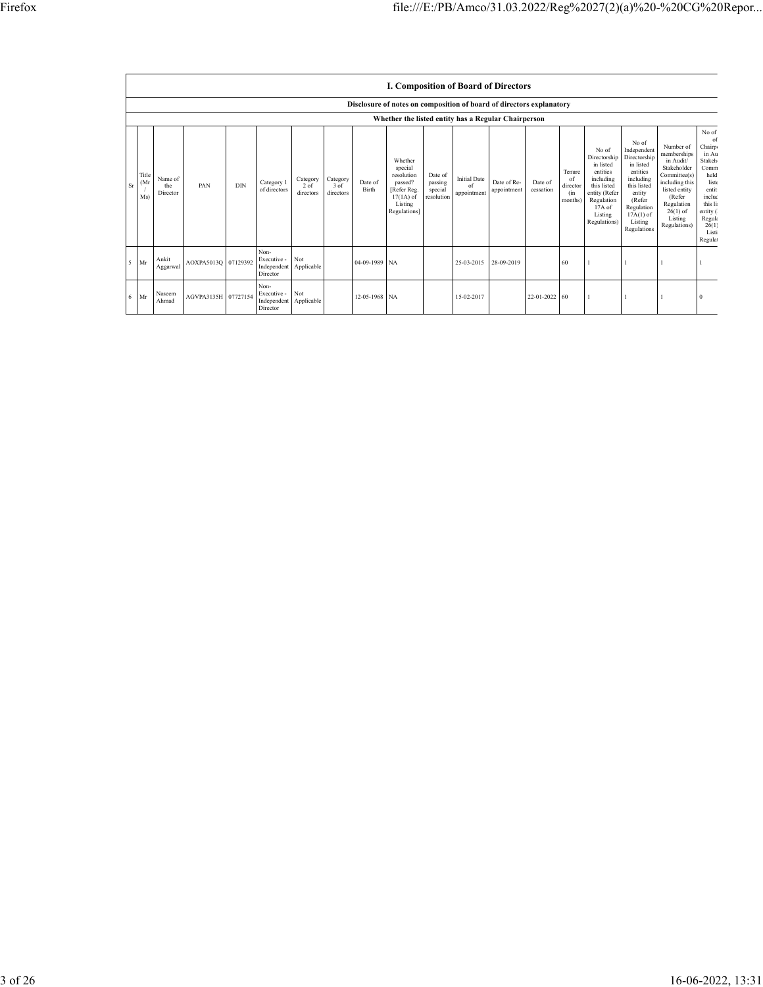|    |                                                     | <b>I. Composition of Board of Directors</b> |                     |     |                                                |                               |                                 |                  |                                                                                                      |                                             |                                          |                            |                      |                                            |                                                                                                                                                |                                                                                                                                                                      |                                                                                                                                                                          |                                                                                                                                                    |
|----|-----------------------------------------------------|---------------------------------------------|---------------------|-----|------------------------------------------------|-------------------------------|---------------------------------|------------------|------------------------------------------------------------------------------------------------------|---------------------------------------------|------------------------------------------|----------------------------|----------------------|--------------------------------------------|------------------------------------------------------------------------------------------------------------------------------------------------|----------------------------------------------------------------------------------------------------------------------------------------------------------------------|--------------------------------------------------------------------------------------------------------------------------------------------------------------------------|----------------------------------------------------------------------------------------------------------------------------------------------------|
|    |                                                     |                                             |                     |     |                                                |                               |                                 |                  | Disclosure of notes on composition of board of directors explanatory                                 |                                             |                                          |                            |                      |                                            |                                                                                                                                                |                                                                                                                                                                      |                                                                                                                                                                          |                                                                                                                                                    |
|    | Whether the listed entity has a Regular Chairperson |                                             |                     |     |                                                |                               |                                 |                  |                                                                                                      |                                             |                                          |                            |                      |                                            |                                                                                                                                                |                                                                                                                                                                      |                                                                                                                                                                          |                                                                                                                                                    |
| Sr | Title<br>(Mr)<br>Ms)                                | Name of<br>the<br>Director                  | PAN                 | DIN | Category 1<br>of directors                     | Category<br>2 of<br>directors | Category<br>$3$ of<br>directors | Date of<br>Birth | Whether<br>special<br>resolution<br>passed?<br>[Refer Reg.<br>$17(1A)$ of<br>Listing<br>Regulations] | Date of<br>passing<br>special<br>resolution | <b>Initial Date</b><br>of<br>appointment | Date of Re-<br>appointment | Date of<br>cessation | Tenure<br>of<br>director<br>(in<br>months) | No of<br>Directorship<br>in listed<br>entities<br>including<br>this listed<br>entity (Refer<br>Regulation<br>17A of<br>Listing<br>Regulations) | No of<br>Independent<br>Directorship<br>in listed<br>entities<br>including<br>this listed<br>entity<br>(Refer<br>Regulation<br>$17A(1)$ of<br>Listing<br>Regulations | Number of<br>memberships<br>in Audit/<br>Stakeholder<br>Committee(s)<br>including this<br>listed entity<br>(Refer<br>Regulation<br>$26(1)$ of<br>Listing<br>Regulations) | No of<br>of<br>Chairp<br>in Au<br>Stakeh<br>Comm<br>held<br>liste<br>entit<br>includ<br>this li<br>entity (<br>Regula<br>26(1)<br>Listi<br>Regulat |
|    | Mr<br>5 <sup>1</sup>                                | Ankit<br>Aggarwal                           | AOXPA5013Q 07129392 |     | Non-<br>Executive -<br>Independent<br>Director | Not<br>Applicable             |                                 | 04-09-1989 NA    |                                                                                                      |                                             | 25-03-2015                               | 28-09-2019                 |                      | 60                                         |                                                                                                                                                |                                                                                                                                                                      |                                                                                                                                                                          |                                                                                                                                                    |
| 6  | Mr                                                  | Naseem<br>Ahmad                             | AGVPA3135H 07727154 |     | Non-<br>Executive -<br>Independent<br>Director | Not<br>Applicable             |                                 | 12-05-1968 NA    |                                                                                                      |                                             | 15-02-2017                               |                            | 22-01-2022           | $\sqrt{60}$                                |                                                                                                                                                |                                                                                                                                                                      |                                                                                                                                                                          |                                                                                                                                                    |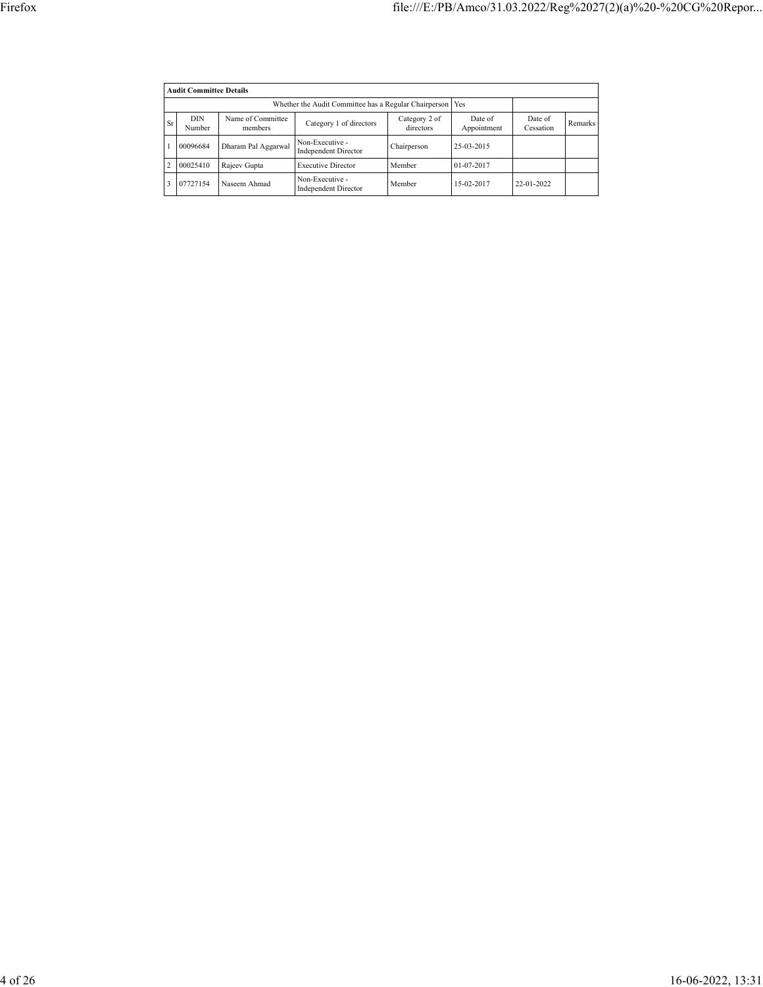|                | <b>Audit Committee Details</b> |                                                             |                                                |                            |                        |                      |         |  |  |
|----------------|--------------------------------|-------------------------------------------------------------|------------------------------------------------|----------------------------|------------------------|----------------------|---------|--|--|
|                |                                | Whether the Audit Committee has a Regular Chairperson   Yes |                                                |                            |                        |                      |         |  |  |
| Sr             | DIN<br>Number                  | Name of Committee<br>members                                | Category 1 of directors                        | Category 2 of<br>directors | Date of<br>Appointment | Date of<br>Cessation | Remarks |  |  |
|                | 00096684                       | Dharam Pal Aggarwal                                         | Non-Executive -<br><b>Independent Director</b> | Chairperson                | 25-03-2015             |                      |         |  |  |
| $\overline{2}$ | 00025410                       | Rajeev Gupta                                                | <b>Executive Director</b>                      | Member                     | 01-07-2017             |                      |         |  |  |
| 3              | 07727154                       | Naseem Ahmad                                                | Non-Executive -<br><b>Independent Director</b> | Member                     | 15-02-2017             | 22-01-2022           |         |  |  |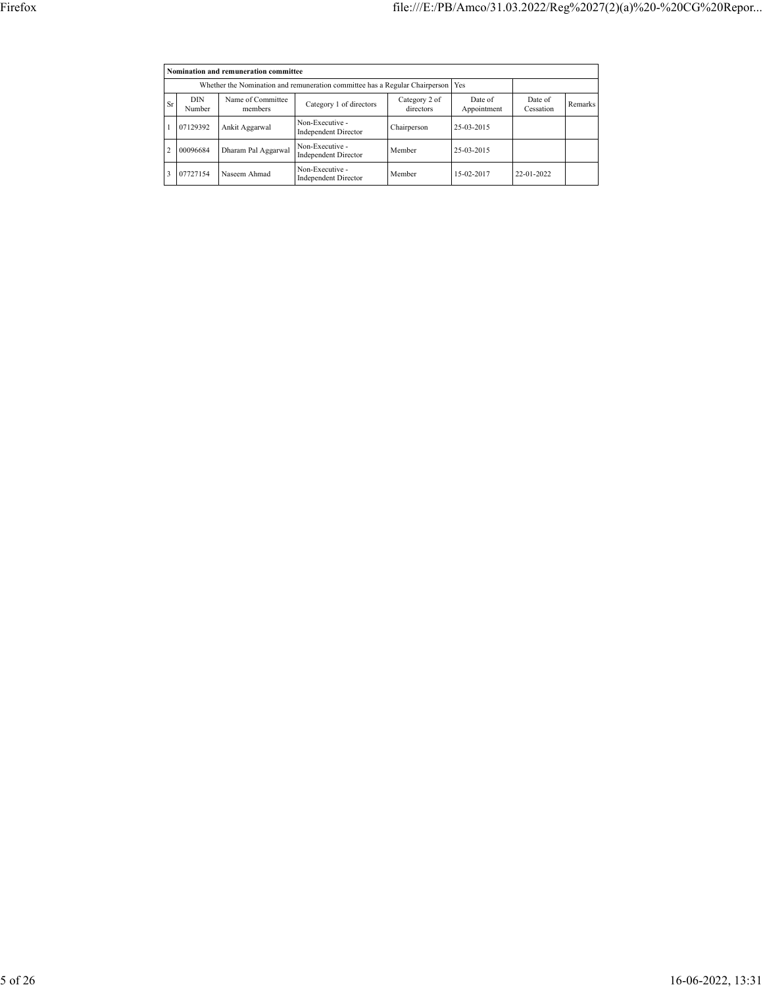|                | Nomination and remuneration committee |                                                                                   |                                                |                            |                        |                      |         |  |  |  |
|----------------|---------------------------------------|-----------------------------------------------------------------------------------|------------------------------------------------|----------------------------|------------------------|----------------------|---------|--|--|--|
|                |                                       | Whether the Nomination and remuneration committee has a Regular Chairperson   Yes |                                                |                            |                        |                      |         |  |  |  |
| Sr             | <b>DIN</b><br>Number                  | Name of Committee<br>members                                                      | Category 1 of directors                        | Category 2 of<br>directors | Date of<br>Appointment | Date of<br>Cessation | Remarks |  |  |  |
|                | 07129392                              | Ankit Aggarwal                                                                    | Non-Executive -<br><b>Independent Director</b> | Chairperson                | 25-03-2015             |                      |         |  |  |  |
| $\overline{2}$ | 00096684                              | Dharam Pal Aggarwal                                                               | Non-Executive -<br>Independent Director        | Member                     | 25-03-2015             |                      |         |  |  |  |
| 3              | 07727154                              | Naseem Ahmad                                                                      | Non-Executive -<br><b>Independent Director</b> | Member                     | 15-02-2017             | 22-01-2022           |         |  |  |  |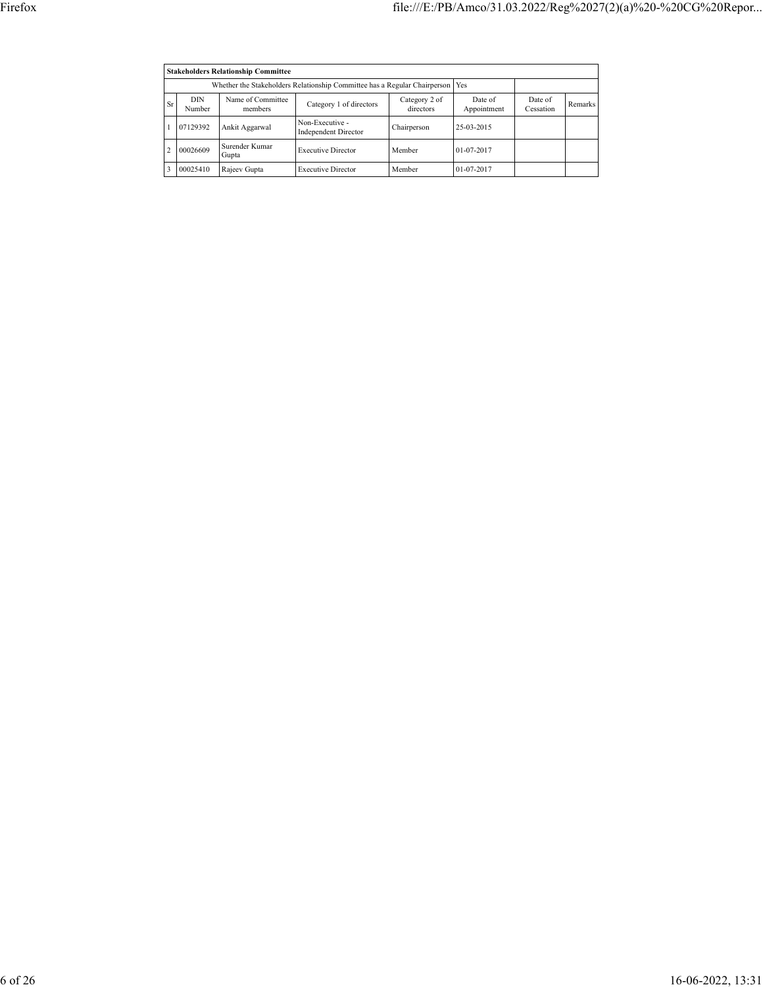|                | <b>Stakeholders Relationship Committee</b> |                                                                                 |                                                |                            |                        |                      |         |  |  |  |
|----------------|--------------------------------------------|---------------------------------------------------------------------------------|------------------------------------------------|----------------------------|------------------------|----------------------|---------|--|--|--|
|                |                                            | Whether the Stakeholders Relationship Committee has a Regular Chairperson   Yes |                                                |                            |                        |                      |         |  |  |  |
| Sr             | <b>DIN</b><br>Number                       | Name of Committee<br>members                                                    | Category 1 of directors                        | Category 2 of<br>directors | Date of<br>Appointment | Date of<br>Cessation | Remarks |  |  |  |
|                | 07129392                                   | Ankit Aggarwal                                                                  | Non-Executive -<br><b>Independent Director</b> | Chairperson                | 25-03-2015             |                      |         |  |  |  |
| $\mathfrak{D}$ | 00026609                                   | Surender Kumar<br>Gupta                                                         | <b>Executive Director</b>                      | Member                     | 01-07-2017             |                      |         |  |  |  |
| ٦              | 00025410                                   | Rajeev Gupta                                                                    | <b>Executive Director</b>                      | Member                     | 01-07-2017             |                      |         |  |  |  |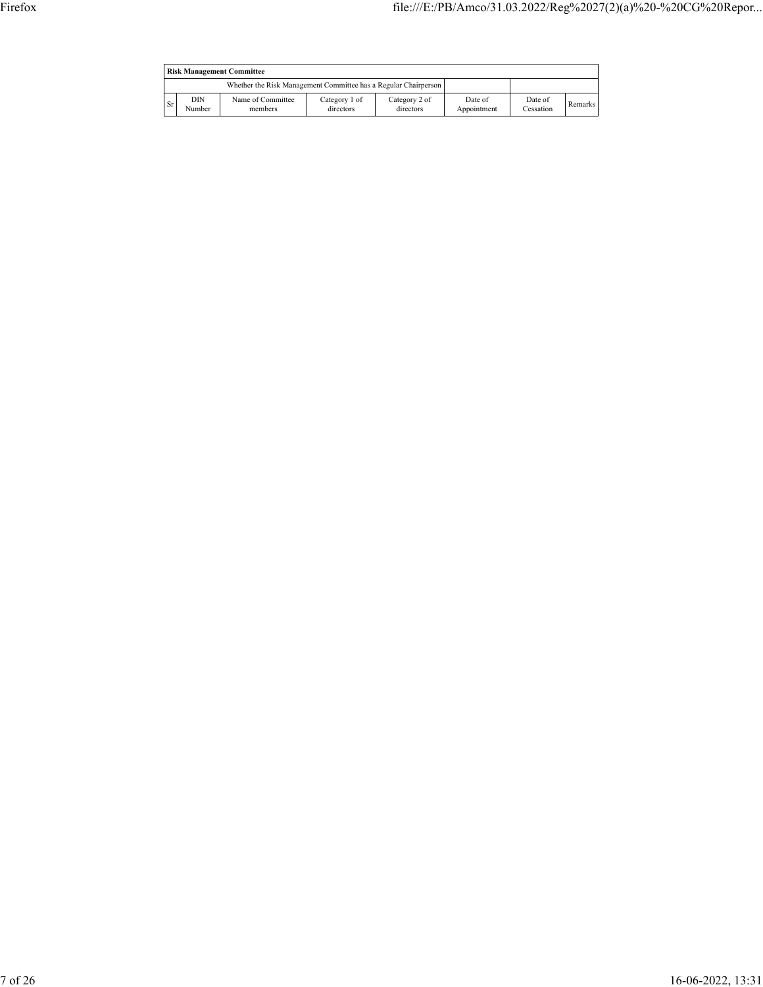|    | <b>Risk Management Committee</b> |                                                                 |                            |                            |                        |                      |         |  |  |
|----|----------------------------------|-----------------------------------------------------------------|----------------------------|----------------------------|------------------------|----------------------|---------|--|--|
|    |                                  | Whether the Risk Management Committee has a Regular Chairperson |                            |                            |                        |                      |         |  |  |
| Sr | DIN<br>Number                    | Name of Committee<br>members                                    | Category 1 of<br>directors | Category 2 of<br>directors | Date of<br>Appointment | Date of<br>Cessation | Remarks |  |  |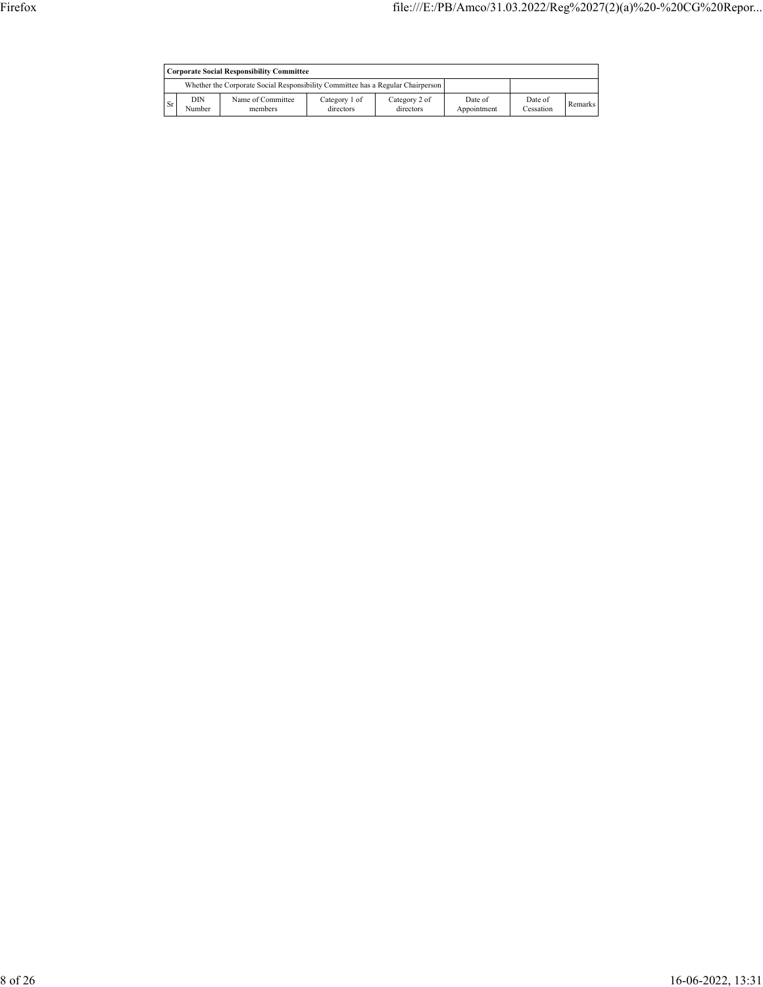|           | <b>Corporate Social Responsibility Committee</b> |                                                                                 |                            |                            |                        |                      |         |  |
|-----------|--------------------------------------------------|---------------------------------------------------------------------------------|----------------------------|----------------------------|------------------------|----------------------|---------|--|
|           |                                                  | Whether the Corporate Social Responsibility Committee has a Regular Chairperson |                            |                            |                        |                      |         |  |
| <b>Sr</b> | DIN<br>Number                                    | Name of Committee<br>members                                                    | Category 1 of<br>directors | Category 2 of<br>directors | Date of<br>Appointment | Date of<br>Cessation | Remarks |  |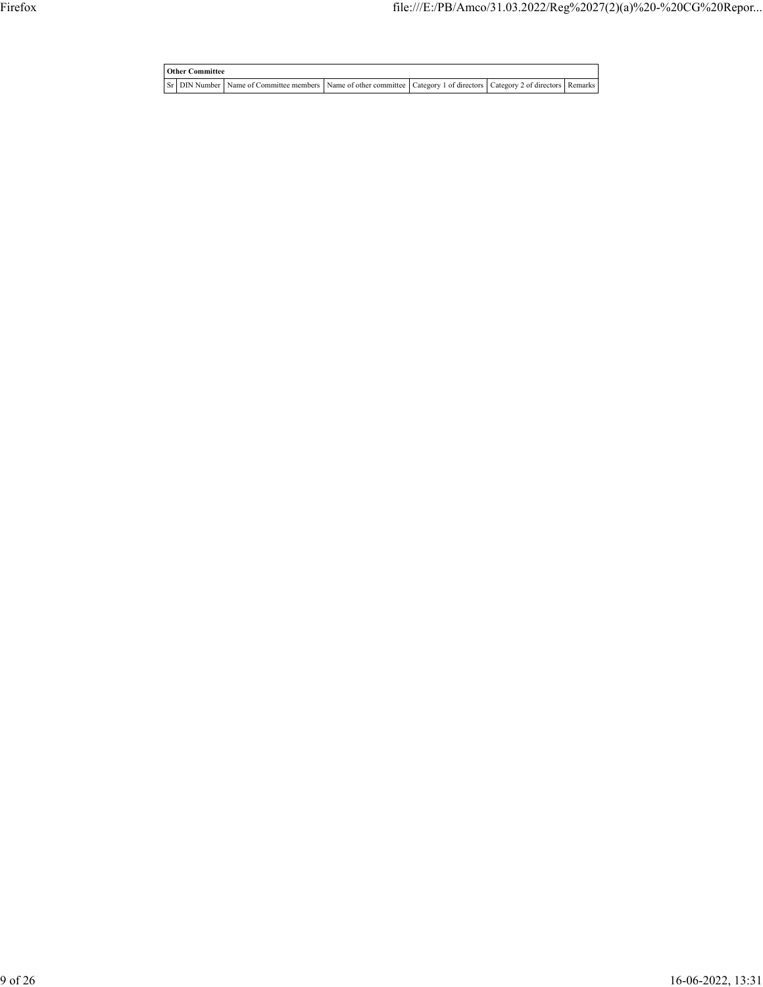| <b>Other Committee</b> |                                                                                                                                     |  |  |
|------------------------|-------------------------------------------------------------------------------------------------------------------------------------|--|--|
|                        | Sr   DIN Number   Name of Committee members   Name of other committee   Category 1 of directors   Category 2 of directors   Remarks |  |  |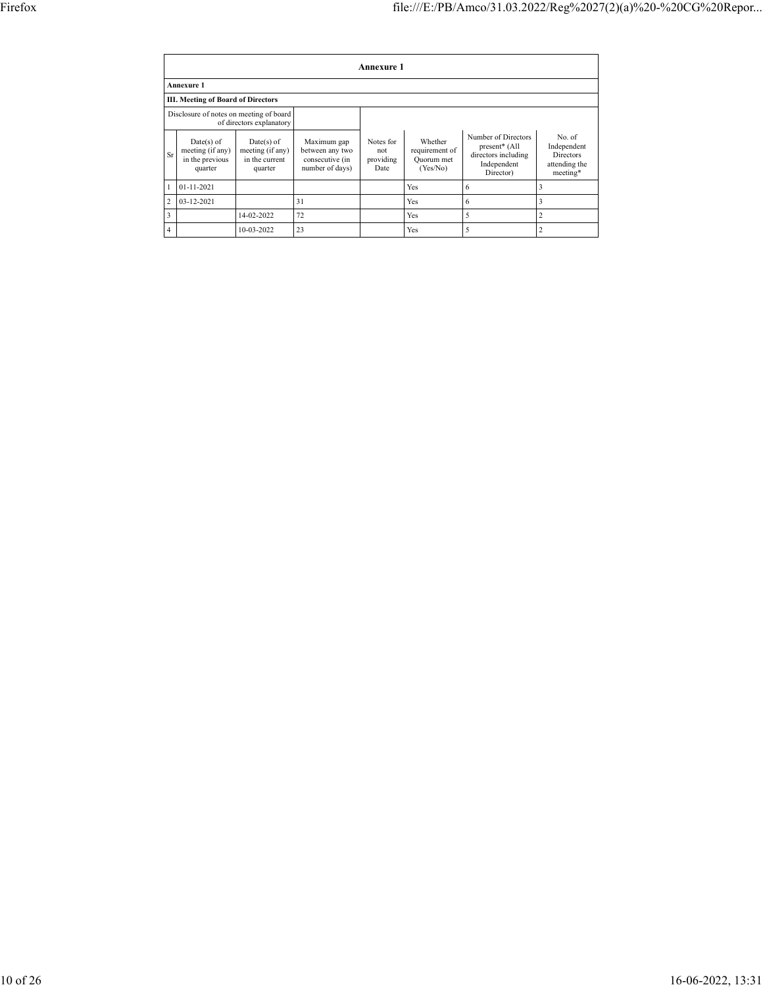|                | Annexure 1                                                          |                                                               |                                                                      |                                       |                                                     |                                                                                         |                                                                        |  |  |  |
|----------------|---------------------------------------------------------------------|---------------------------------------------------------------|----------------------------------------------------------------------|---------------------------------------|-----------------------------------------------------|-----------------------------------------------------------------------------------------|------------------------------------------------------------------------|--|--|--|
|                | <b>Annexure 1</b>                                                   |                                                               |                                                                      |                                       |                                                     |                                                                                         |                                                                        |  |  |  |
|                | III. Meeting of Board of Directors                                  |                                                               |                                                                      |                                       |                                                     |                                                                                         |                                                                        |  |  |  |
|                | Disclosure of notes on meeting of board<br>of directors explanatory |                                                               |                                                                      |                                       |                                                     |                                                                                         |                                                                        |  |  |  |
| Sr             | $Date(s)$ of<br>meeting (if any)<br>in the previous<br>quarter      | $Date(s)$ of<br>meeting (if any)<br>in the current<br>quarter | Maximum gap<br>between any two<br>consecutive (in<br>number of days) | Notes for<br>not<br>providing<br>Date | Whether<br>requirement of<br>Quorum met<br>(Yes/No) | Number of Directors<br>present* (All<br>directors including<br>Independent<br>Director) | No. of<br>Independent<br><b>Directors</b><br>attending the<br>meeting* |  |  |  |
|                | $01 - 11 - 2021$                                                    |                                                               |                                                                      |                                       | Yes                                                 | 6                                                                                       | 3                                                                      |  |  |  |
| $\overline{c}$ | 03-12-2021                                                          |                                                               | 31                                                                   |                                       | Yes                                                 | 6                                                                                       | 3                                                                      |  |  |  |
| 3              |                                                                     | 14-02-2022                                                    | 72                                                                   |                                       | Yes                                                 | 5                                                                                       | $\overline{2}$                                                         |  |  |  |
| $\overline{4}$ |                                                                     | 10-03-2022                                                    | 23                                                                   |                                       | Yes                                                 | 5                                                                                       | $\overline{2}$                                                         |  |  |  |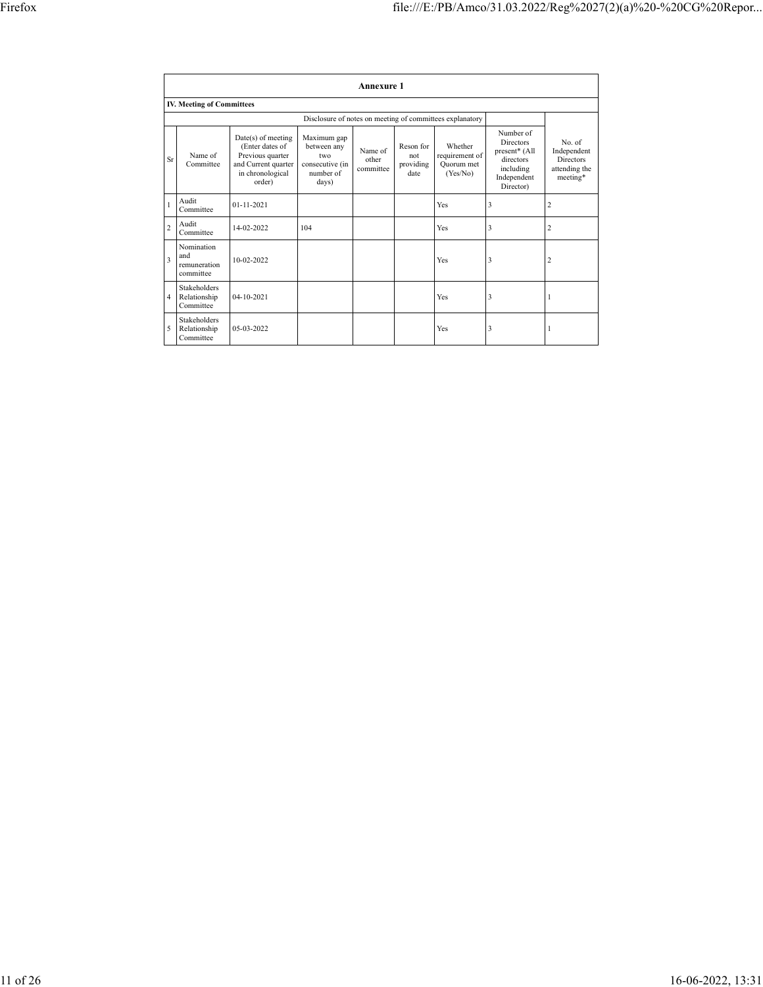|                |                                                  |                                                                                                                |                                                                            | <b>Annexure 1</b>             |                                       |                                                          |                                                                                                      |                                                                        |
|----------------|--------------------------------------------------|----------------------------------------------------------------------------------------------------------------|----------------------------------------------------------------------------|-------------------------------|---------------------------------------|----------------------------------------------------------|------------------------------------------------------------------------------------------------------|------------------------------------------------------------------------|
|                | <b>IV. Meeting of Committees</b>                 |                                                                                                                |                                                                            |                               |                                       |                                                          |                                                                                                      |                                                                        |
|                |                                                  |                                                                                                                |                                                                            |                               |                                       | Disclosure of notes on meeting of committees explanatory |                                                                                                      |                                                                        |
| Sr             | Name of<br>Committee                             | Date(s) of meeting<br>(Enter dates of<br>Previous quarter<br>and Current quarter<br>in chronological<br>order) | Maximum gap<br>between any<br>two<br>consecutive (in<br>number of<br>days) | Name of<br>other<br>committee | Reson for<br>not<br>providing<br>date | Whether<br>requirement of<br>Ouorum met<br>(Yes/No)      | Number of<br><b>Directors</b><br>present* (All<br>directors<br>including<br>Independent<br>Director) | No. of<br>Independent<br><b>Directors</b><br>attending the<br>meeting* |
|                | Audit<br>Committee                               | $01 - 11 - 2021$                                                                                               |                                                                            |                               |                                       | Yes                                                      | 3                                                                                                    | $\overline{c}$                                                         |
| $\overline{2}$ | Audit<br>Committee                               | 14-02-2022                                                                                                     | 104                                                                        |                               |                                       | Yes                                                      | 3                                                                                                    | $\overline{c}$                                                         |
| 3              | Nomination<br>and<br>remuneration<br>committee   | 10-02-2022                                                                                                     |                                                                            |                               |                                       | Yes                                                      | 3                                                                                                    | $\overline{c}$                                                         |
| $\overline{4}$ | <b>Stakeholders</b><br>Relationship<br>Committee | $04 - 10 - 2021$                                                                                               |                                                                            |                               |                                       | Yes                                                      | 3                                                                                                    | 1                                                                      |
| 5              | <b>Stakeholders</b><br>Relationship<br>Committee | 05-03-2022                                                                                                     |                                                                            |                               |                                       | Yes                                                      | 3                                                                                                    | 1                                                                      |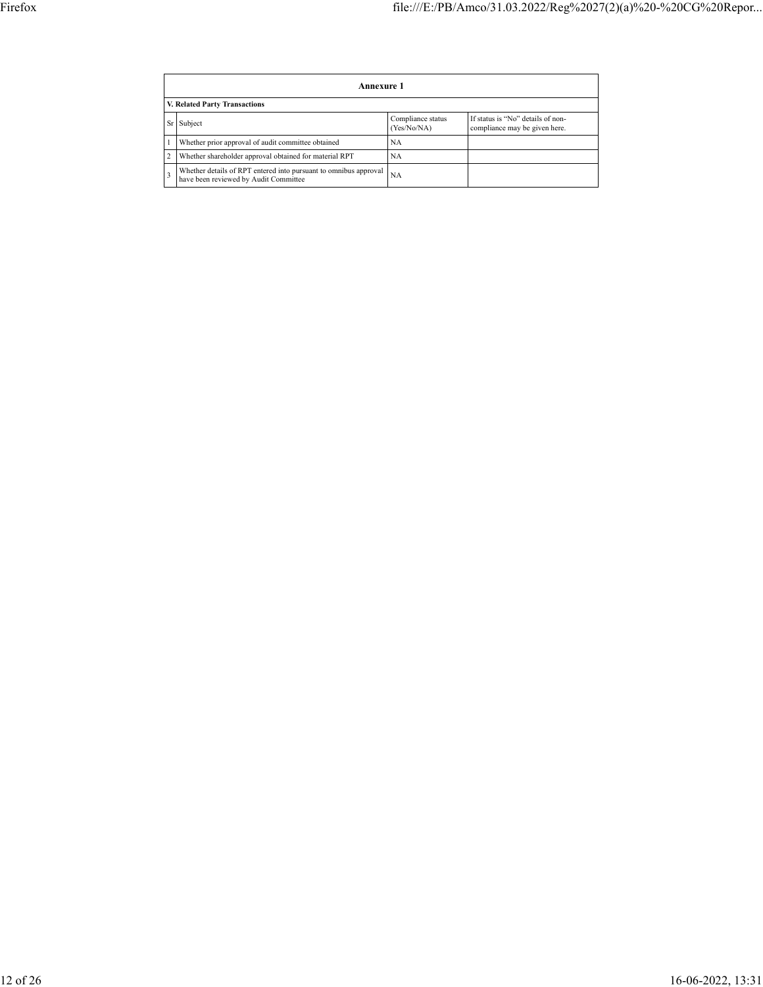|    | <b>Annexure 1</b>                                                                                         |                                  |                                                                    |  |  |  |  |  |  |
|----|-----------------------------------------------------------------------------------------------------------|----------------------------------|--------------------------------------------------------------------|--|--|--|--|--|--|
|    | V. Related Party Transactions                                                                             |                                  |                                                                    |  |  |  |  |  |  |
| Sr | Subject                                                                                                   | Compliance status<br>(Yes/No/NA) | If status is "No" details of non-<br>compliance may be given here. |  |  |  |  |  |  |
|    | Whether prior approval of audit committee obtained                                                        | NA                               |                                                                    |  |  |  |  |  |  |
|    | Whether shareholder approval obtained for material RPT                                                    | NA                               |                                                                    |  |  |  |  |  |  |
|    | Whether details of RPT entered into pursuant to omnibus approval<br>have been reviewed by Audit Committee | <b>NA</b>                        |                                                                    |  |  |  |  |  |  |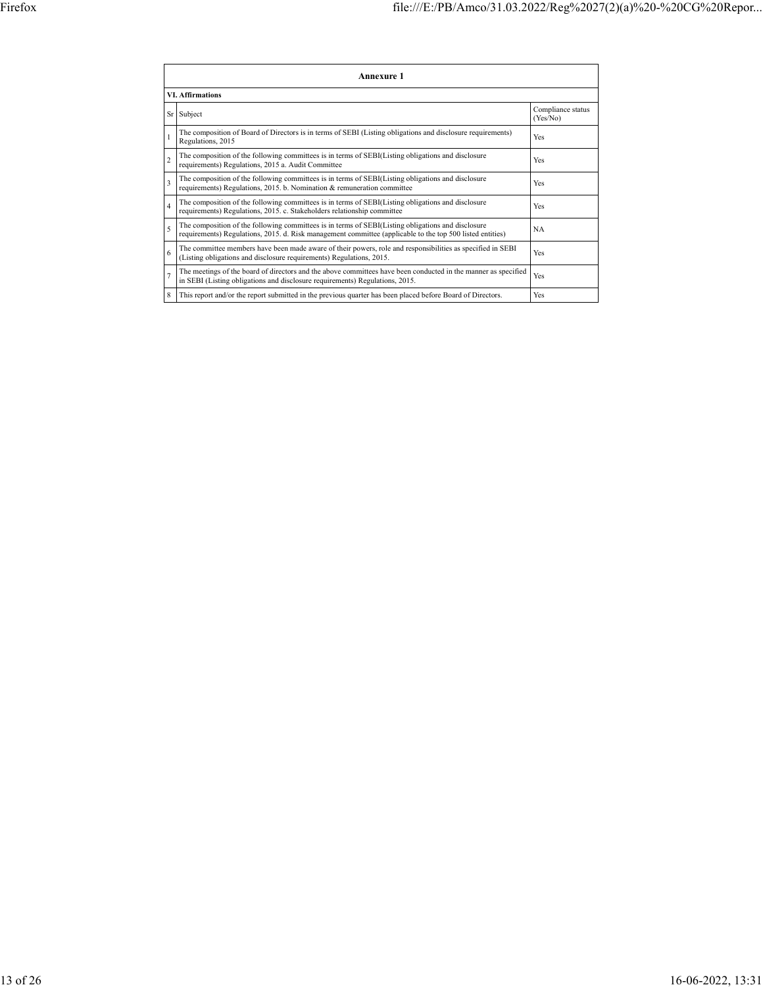|                | <b>Annexure 1</b>                                                                                                                                                                                               |                               |  |  |  |
|----------------|-----------------------------------------------------------------------------------------------------------------------------------------------------------------------------------------------------------------|-------------------------------|--|--|--|
|                | <b>VI. Affirmations</b>                                                                                                                                                                                         |                               |  |  |  |
| Sr             | Subject                                                                                                                                                                                                         | Compliance status<br>(Yes/No) |  |  |  |
|                | The composition of Board of Directors is in terms of SEBI (Listing obligations and disclosure requirements)<br>Regulations, 2015                                                                                | Yes                           |  |  |  |
| $\overline{2}$ | The composition of the following committees is in terms of SEBI(Listing obligations and disclosure<br>requirements) Regulations, 2015 a. Audit Committee                                                        | Yes                           |  |  |  |
| 3              | The composition of the following committees is in terms of SEBI(Listing obligations and disclosure<br>requirements) Regulations, 2015. b. Nomination & remuneration committee                                   | Yes                           |  |  |  |
| $\overline{4}$ | The composition of the following committees is in terms of SEBI(Listing obligations and disclosure<br>requirements) Regulations, 2015. c. Stakeholders relationship committee                                   | Yes                           |  |  |  |
| 5              | The composition of the following committees is in terms of SEBI(Listing obligations and disclosure<br>requirements) Regulations, 2015. d. Risk management committee (applicable to the top 500 listed entities) | <b>NA</b>                     |  |  |  |
| 6              | The committee members have been made aware of their powers, role and responsibilities as specified in SEBI<br>(Listing obligations and disclosure requirements) Regulations, 2015.                              | Yes                           |  |  |  |
| $\overline{1}$ | The meetings of the board of directors and the above committees have been conducted in the manner as specified<br>in SEBI (Listing obligations and disclosure requirements) Regulations, 2015.                  | Yes                           |  |  |  |
| 8              | This report and/or the report submitted in the previous quarter has been placed before Board of Directors.                                                                                                      | Yes                           |  |  |  |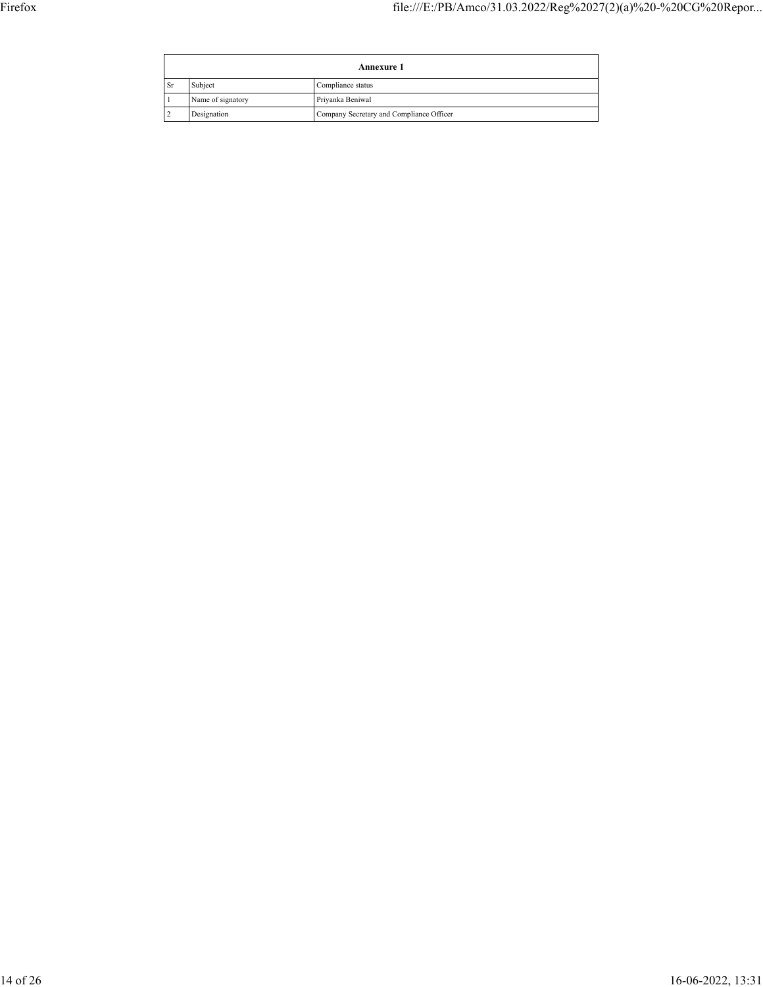|               | <b>Annexure 1</b> |                                          |  |  |  |
|---------------|-------------------|------------------------------------------|--|--|--|
| <sub>Sr</sub> | Subject           | Compliance status                        |  |  |  |
|               | Name of signatory | Priyanka Beniwal                         |  |  |  |
|               | Designation       | Company Secretary and Compliance Officer |  |  |  |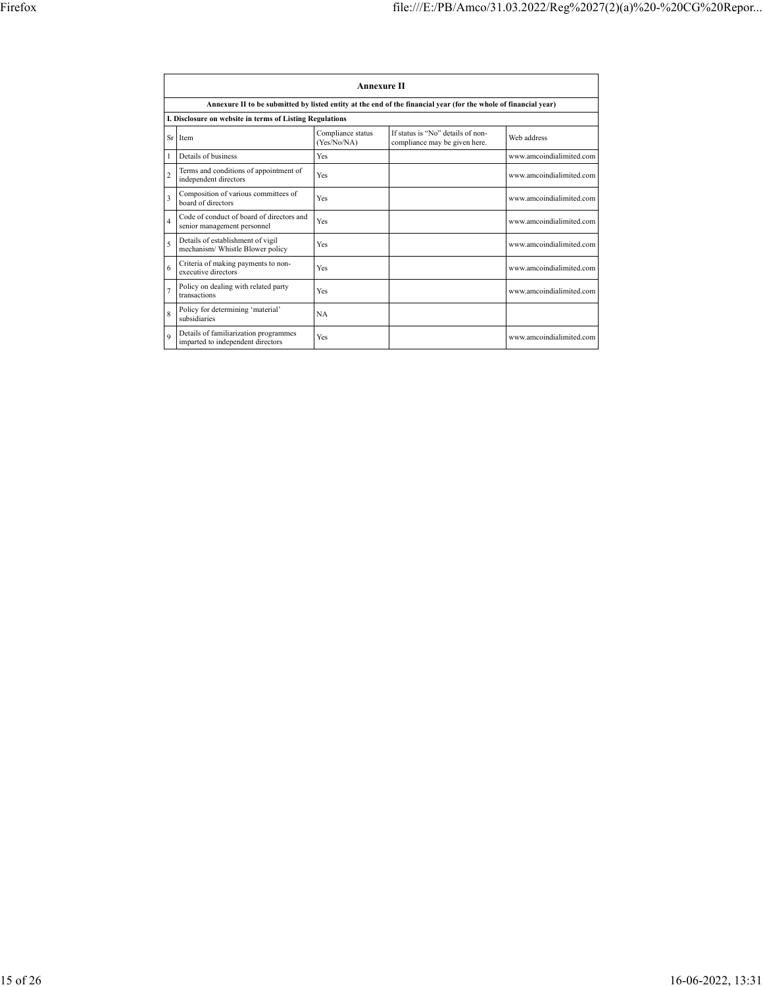|                    | <b>Annexure II</b>                                                         |                                  |                                                                                                                 |                          |  |  |
|--------------------|----------------------------------------------------------------------------|----------------------------------|-----------------------------------------------------------------------------------------------------------------|--------------------------|--|--|
|                    |                                                                            |                                  | Annexure II to be submitted by listed entity at the end of the financial year (for the whole of financial year) |                          |  |  |
|                    | I. Disclosure on website in terms of Listing Regulations                   |                                  |                                                                                                                 |                          |  |  |
|                    | Sr Item                                                                    | Compliance status<br>(Yes/No/NA) | If status is "No" details of non-<br>compliance may be given here.                                              | Web address              |  |  |
|                    | Details of business                                                        | Yes                              |                                                                                                                 | www.amcoindialimited.com |  |  |
| $\overline{c}$     | Terms and conditions of appointment of<br>independent directors            | Yes                              |                                                                                                                 | www.amcoindialimited.com |  |  |
| 3                  | Composition of various committees of<br>board of directors                 | Yes                              |                                                                                                                 | www.amcoindialimited.com |  |  |
| $\overline{4}$     | Code of conduct of board of directors and<br>senior management personnel   | Yes                              |                                                                                                                 | www.amcoindialimited.com |  |  |
| 5                  | Details of establishment of vigil<br>mechanism/ Whistle Blower policy      | Yes                              |                                                                                                                 | www.amcoindialimited.com |  |  |
| 6                  | Criteria of making payments to non-<br>executive directors                 | Yes                              |                                                                                                                 | www.amcoindialimited.com |  |  |
| $\overline{1}$     | Policy on dealing with related party<br>transactions                       | Yes                              |                                                                                                                 | www.amcoindialimited.com |  |  |
| $\mathbf{\hat{z}}$ | Policy for determining 'material'<br>subsidiaries                          | <b>NA</b>                        |                                                                                                                 |                          |  |  |
| $\mathbf Q$        | Details of familiarization programmes<br>imparted to independent directors | Yes                              |                                                                                                                 | www.amcoindialimited.com |  |  |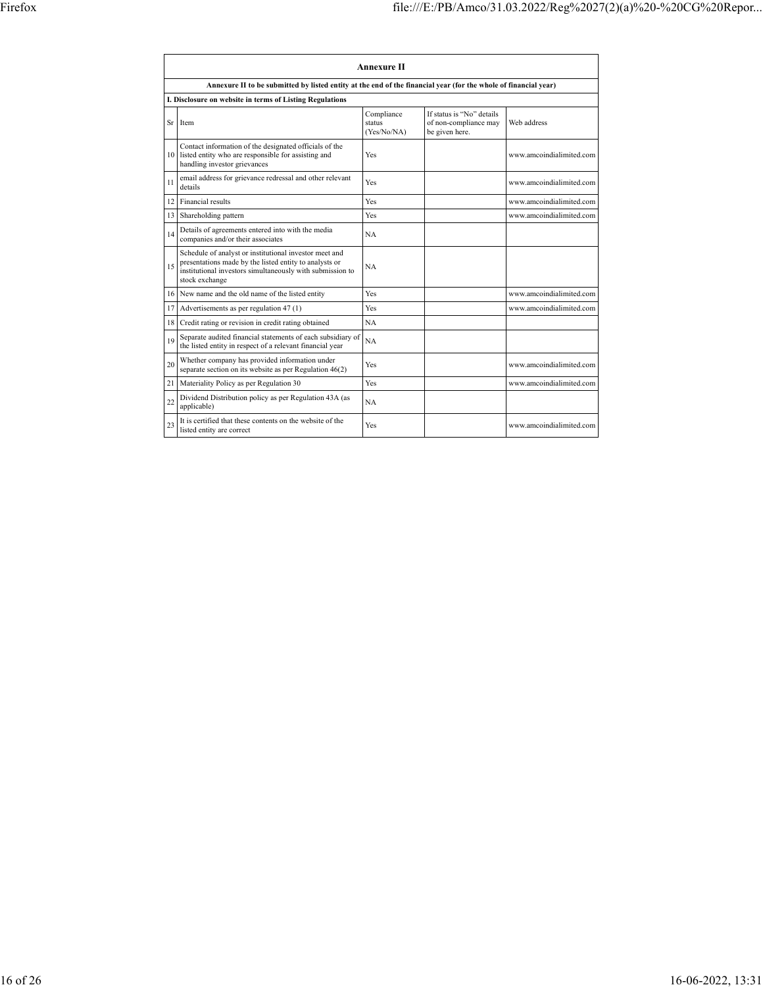|    | <b>Annexure II</b>                                                                                                                                                                              |                                     |                                                                      |                          |  |
|----|-------------------------------------------------------------------------------------------------------------------------------------------------------------------------------------------------|-------------------------------------|----------------------------------------------------------------------|--------------------------|--|
|    | Annexure II to be submitted by listed entity at the end of the financial year (for the whole of financial year)                                                                                 |                                     |                                                                      |                          |  |
|    | I. Disclosure on website in terms of Listing Regulations                                                                                                                                        |                                     |                                                                      |                          |  |
|    | Sr Item                                                                                                                                                                                         | Compliance<br>status<br>(Yes/No/NA) | If status is "No" details<br>of non-compliance may<br>be given here. | Web address              |  |
|    | Contact information of the designated officials of the<br>10 listed entity who are responsible for assisting and<br>handling investor grievances                                                | Yes                                 |                                                                      | www.amcoindialimited.com |  |
| 11 | email address for grievance redressal and other relevant<br>details                                                                                                                             | Yes                                 |                                                                      | www.amcoindialimited.com |  |
| 12 | Financial results                                                                                                                                                                               | Yes                                 |                                                                      | www.amcoindialimited.com |  |
| 13 | Shareholding pattern                                                                                                                                                                            | Yes                                 |                                                                      | www.amcoindialimited.com |  |
| 14 | Details of agreements entered into with the media<br>companies and/or their associates                                                                                                          | <b>NA</b>                           |                                                                      |                          |  |
| 15 | Schedule of analyst or institutional investor meet and<br>presentations made by the listed entity to analysts or<br>institutional investors simultaneously with submission to<br>stock exchange | <b>NA</b>                           |                                                                      |                          |  |
|    | 16 New name and the old name of the listed entity                                                                                                                                               | Yes                                 |                                                                      | www.amcoindialimited.com |  |
| 17 | Advertisements as per regulation 47 (1)                                                                                                                                                         | Yes                                 |                                                                      | www.amcoindialimited.com |  |
| 18 | Credit rating or revision in credit rating obtained                                                                                                                                             | <b>NA</b>                           |                                                                      |                          |  |
| 19 | Separate audited financial statements of each subsidiary of<br>the listed entity in respect of a relevant financial year                                                                        | <b>NA</b>                           |                                                                      |                          |  |
| 20 | Whether company has provided information under<br>separate section on its website as per Regulation 46(2)                                                                                       | Yes                                 |                                                                      | www.amcoindialimited.com |  |
| 21 | Materiality Policy as per Regulation 30                                                                                                                                                         | Yes                                 |                                                                      | www.amcoindialimited.com |  |
| 22 | Dividend Distribution policy as per Regulation 43A (as<br>applicable)                                                                                                                           | <b>NA</b>                           |                                                                      |                          |  |
| 23 | It is certified that these contents on the website of the<br>listed entity are correct                                                                                                          | Yes                                 |                                                                      | www.amcoindialimited.com |  |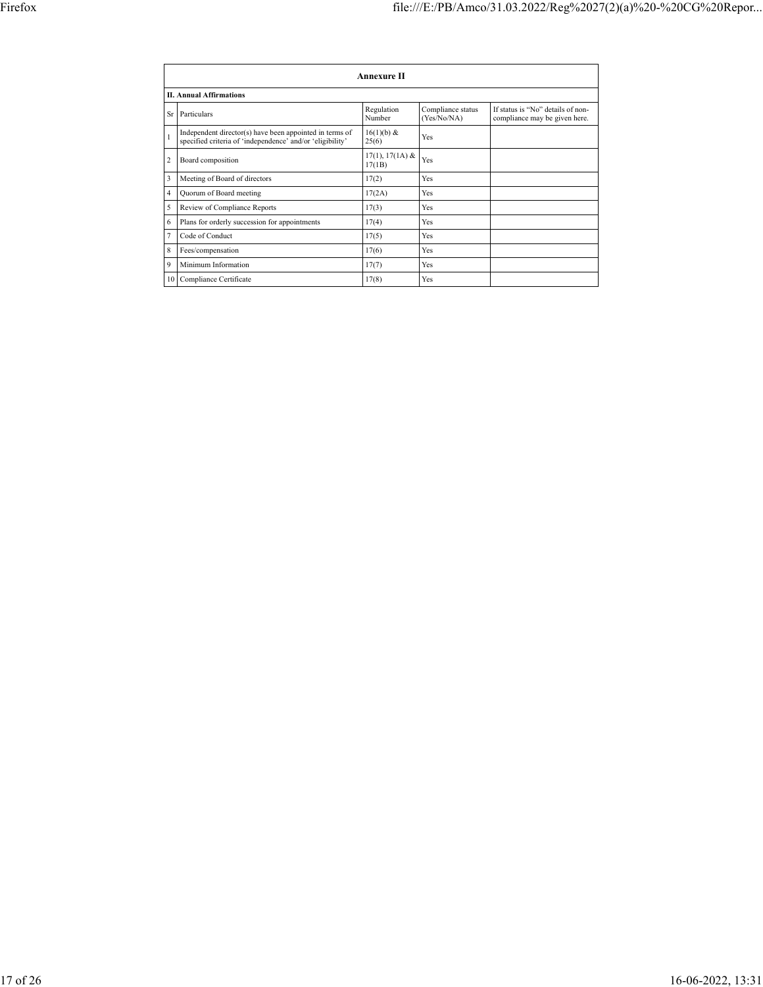|                | <b>Annexure II</b>                                                                                                   |                             |                                  |                                                                    |  |
|----------------|----------------------------------------------------------------------------------------------------------------------|-----------------------------|----------------------------------|--------------------------------------------------------------------|--|
|                | <b>II. Annual Affirmations</b>                                                                                       |                             |                                  |                                                                    |  |
| Sr             | Particulars                                                                                                          | Regulation<br>Number        | Compliance status<br>(Yes/No/NA) | If status is "No" details of non-<br>compliance may be given here. |  |
|                | Independent director(s) have been appointed in terms of<br>specified criteria of 'independence' and/or 'eligibility' | $16(1)(b)$ &<br>25(6)       | Yes                              |                                                                    |  |
| 2              | Board composition                                                                                                    | $17(1), 17(1A)$ &<br>17(1B) | Yes                              |                                                                    |  |
| 3              | Meeting of Board of directors                                                                                        | 17(2)                       | Yes                              |                                                                    |  |
| $\overline{4}$ | Quorum of Board meeting                                                                                              | 17(2A)                      | Yes                              |                                                                    |  |
| 5              | Review of Compliance Reports                                                                                         | 17(3)                       | Yes                              |                                                                    |  |
| 6              | Plans for orderly succession for appointments                                                                        | 17(4)                       | Yes                              |                                                                    |  |
| $\overline{7}$ | Code of Conduct                                                                                                      | 17(5)                       | Yes                              |                                                                    |  |
| 8              | Fees/compensation                                                                                                    | 17(6)                       | Yes                              |                                                                    |  |
| 9              | Minimum Information                                                                                                  | 17(7)                       | Yes                              |                                                                    |  |
|                | 10 Compliance Certificate                                                                                            | 17(8)                       | Yes                              |                                                                    |  |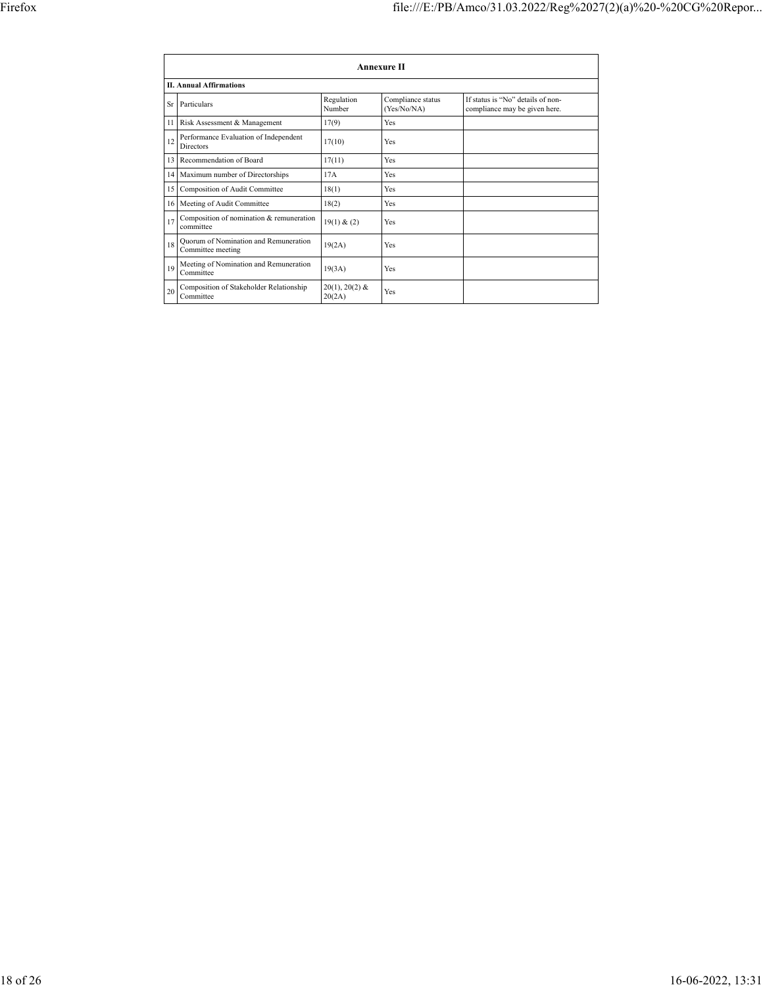|         | Annexure II                                                |                            |                                  |                                                                    |  |
|---------|------------------------------------------------------------|----------------------------|----------------------------------|--------------------------------------------------------------------|--|
|         | <b>II. Annual Affirmations</b>                             |                            |                                  |                                                                    |  |
|         | Sr Particulars                                             | Regulation<br>Number       | Compliance status<br>(Yes/No/NA) | If status is "No" details of non-<br>compliance may be given here. |  |
|         | 11 Risk Assessment & Management                            | 17(9)                      | Yes                              |                                                                    |  |
| 12      | Performance Evaluation of Independent<br>Directors         | 17(10)                     | Yes                              |                                                                    |  |
| $13-13$ | Recommendation of Board                                    | 17(11)                     | Yes                              |                                                                    |  |
|         | 14 Maximum number of Directorships                         | 17A                        | Yes                              |                                                                    |  |
| 15      | Composition of Audit Committee                             | 18(1)                      | Yes                              |                                                                    |  |
| 16 I    | Meeting of Audit Committee                                 | 18(2)                      | Yes                              |                                                                    |  |
| 17      | Composition of nomination & remuneration<br>committee      | 19(1) & (2)                | Yes                              |                                                                    |  |
| 18      | Quorum of Nomination and Remuneration<br>Committee meeting | 19(2A)                     | Yes                              |                                                                    |  |
| 19      | Meeting of Nomination and Remuneration<br>Committee        | 19(3A)                     | Yes                              |                                                                    |  |
| 20      | Composition of Stakeholder Relationship<br>Committee       | $20(1), 20(2)$ &<br>20(2A) | Yes                              |                                                                    |  |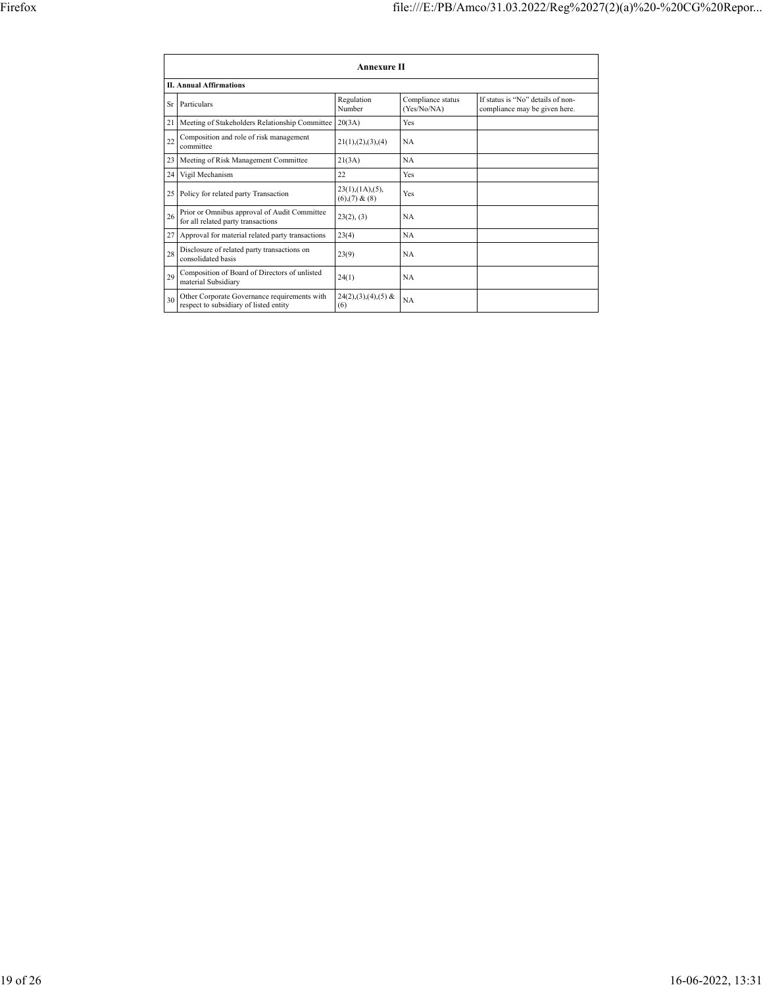|    | <b>Annexure II</b>                                                                     |                                                     |                                  |                                                                    |  |
|----|----------------------------------------------------------------------------------------|-----------------------------------------------------|----------------------------------|--------------------------------------------------------------------|--|
|    | <b>II. Annual Affirmations</b>                                                         |                                                     |                                  |                                                                    |  |
| Sr | Particulars                                                                            | Regulation<br>Number                                | Compliance status<br>(Yes/No/NA) | If status is "No" details of non-<br>compliance may be given here. |  |
| 21 | Meeting of Stakeholders Relationship Committee                                         | 20(3A)                                              | Yes                              |                                                                    |  |
| 22 | Composition and role of risk management<br>committee                                   | 21(1), (2), (3), (4)                                | <b>NA</b>                        |                                                                    |  |
| 23 | Meeting of Risk Management Committee                                                   | 21(3A)                                              | <b>NA</b>                        |                                                                    |  |
| 24 | Vigil Mechanism                                                                        | 22                                                  | Yes                              |                                                                    |  |
|    | 25 Policy for related party Transaction                                                | $23(1)$ , $(1A)$ , $(5)$ ,<br>$(6)$ , $(7)$ & $(8)$ | Yes                              |                                                                    |  |
| 26 | Prior or Omnibus approval of Audit Committee<br>for all related party transactions     | 23(2), (3)                                          | <b>NA</b>                        |                                                                    |  |
|    | 27 Approval for material related party transactions                                    | 23(4)                                               | NA                               |                                                                    |  |
| 28 | Disclosure of related party transactions on<br>consolidated basis                      | 23(9)                                               | NA                               |                                                                    |  |
| 29 | Composition of Board of Directors of unlisted<br>material Subsidiary                   | 24(1)                                               | <b>NA</b>                        |                                                                    |  |
| 30 | Other Corporate Governance requirements with<br>respect to subsidiary of listed entity | $24(2),(3),(4),(5)$ &<br>(6)                        | <b>NA</b>                        |                                                                    |  |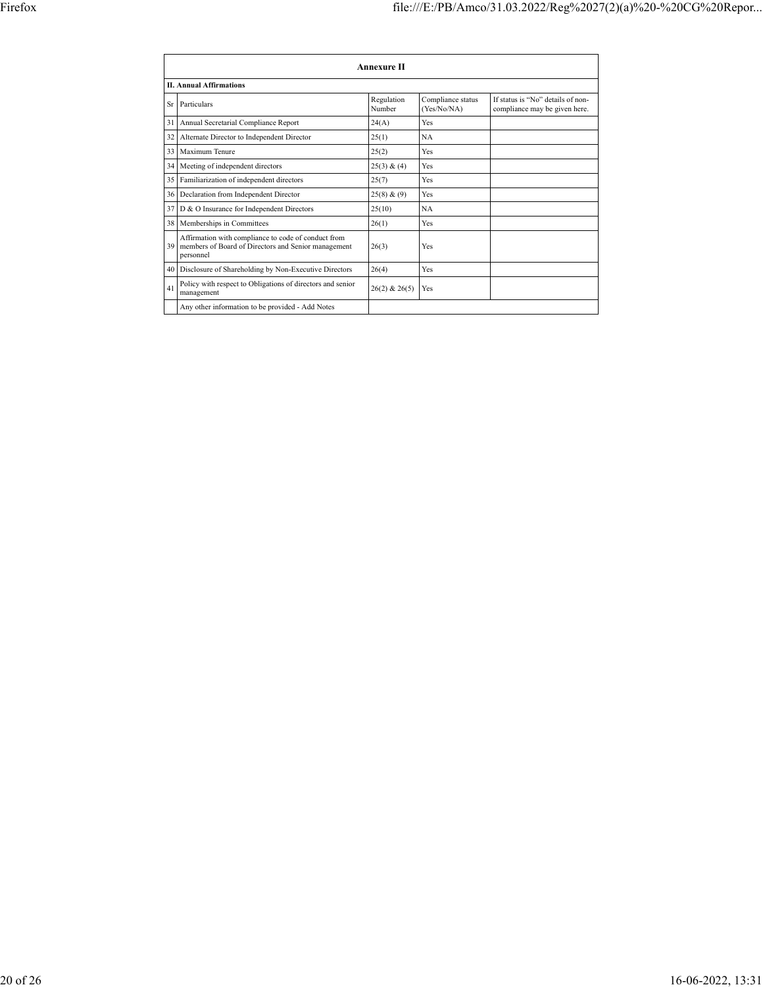|    |                                                                                                                         | Annexure II          |                                  |                                                                    |
|----|-------------------------------------------------------------------------------------------------------------------------|----------------------|----------------------------------|--------------------------------------------------------------------|
|    | <b>II. Annual Affirmations</b>                                                                                          |                      |                                  |                                                                    |
| Sr | Particulars                                                                                                             | Regulation<br>Number | Compliance status<br>(Yes/No/NA) | If status is "No" details of non-<br>compliance may be given here. |
| 31 | Annual Secretarial Compliance Report                                                                                    | 24(A)                | Yes                              |                                                                    |
| 32 | Alternate Director to Independent Director                                                                              | 25(1)                | <b>NA</b>                        |                                                                    |
| 33 | Maximum Tenure                                                                                                          | 25(2)                | Yes                              |                                                                    |
| 34 | Meeting of independent directors                                                                                        | 25(3) & (4)          | Yes                              |                                                                    |
| 35 | Familiarization of independent directors                                                                                | 25(7)                | Yes                              |                                                                    |
| 36 | Declaration from Independent Director                                                                                   | 25(8) & (9)          | Yes                              |                                                                    |
| 37 | D & O Insurance for Independent Directors                                                                               | 25(10)               | <b>NA</b>                        |                                                                    |
| 38 | Memberships in Committees                                                                                               | 26(1)                | Yes                              |                                                                    |
| 39 | Affirmation with compliance to code of conduct from<br>members of Board of Directors and Senior management<br>personnel | 26(3)                | Yes                              |                                                                    |
| 40 | Disclosure of Shareholding by Non-Executive Directors                                                                   | 26(4)                | Yes                              |                                                                    |
| 41 | Policy with respect to Obligations of directors and senior<br>management                                                | $26(2)$ & $26(5)$    | Yes                              |                                                                    |
|    | Any other information to be provided - Add Notes                                                                        |                      |                                  |                                                                    |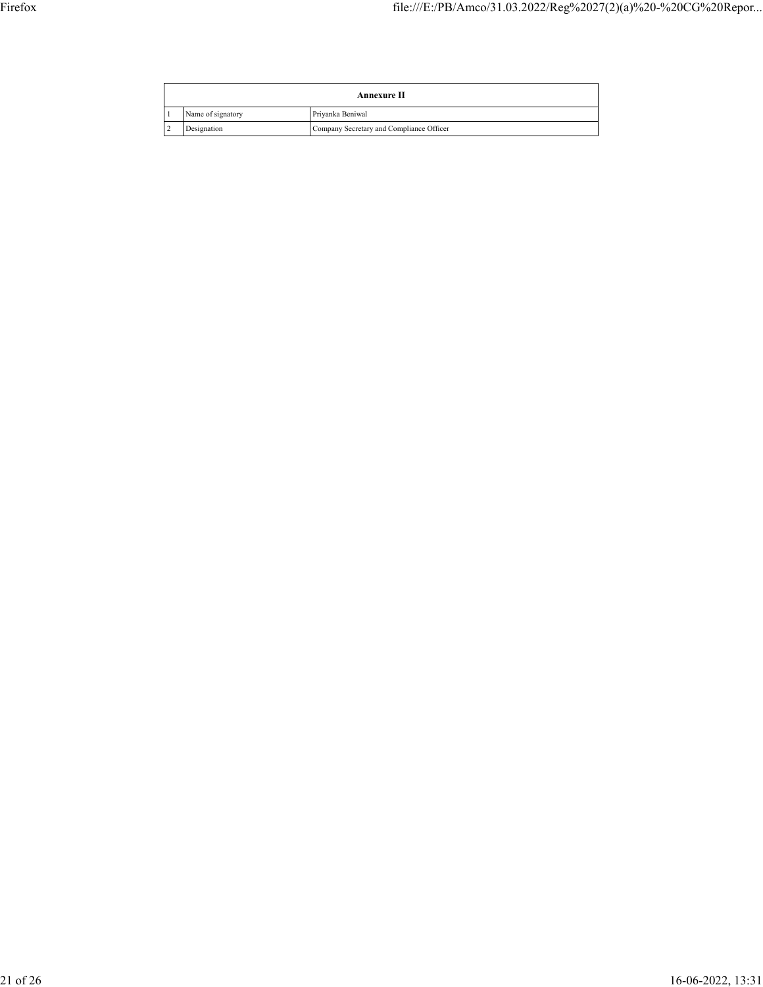| Annexure II |                   |                                          |
|-------------|-------------------|------------------------------------------|
|             | Name of signatory | Privanka Beniwal                         |
| ∸           | Designation       | Company Secretary and Compliance Officer |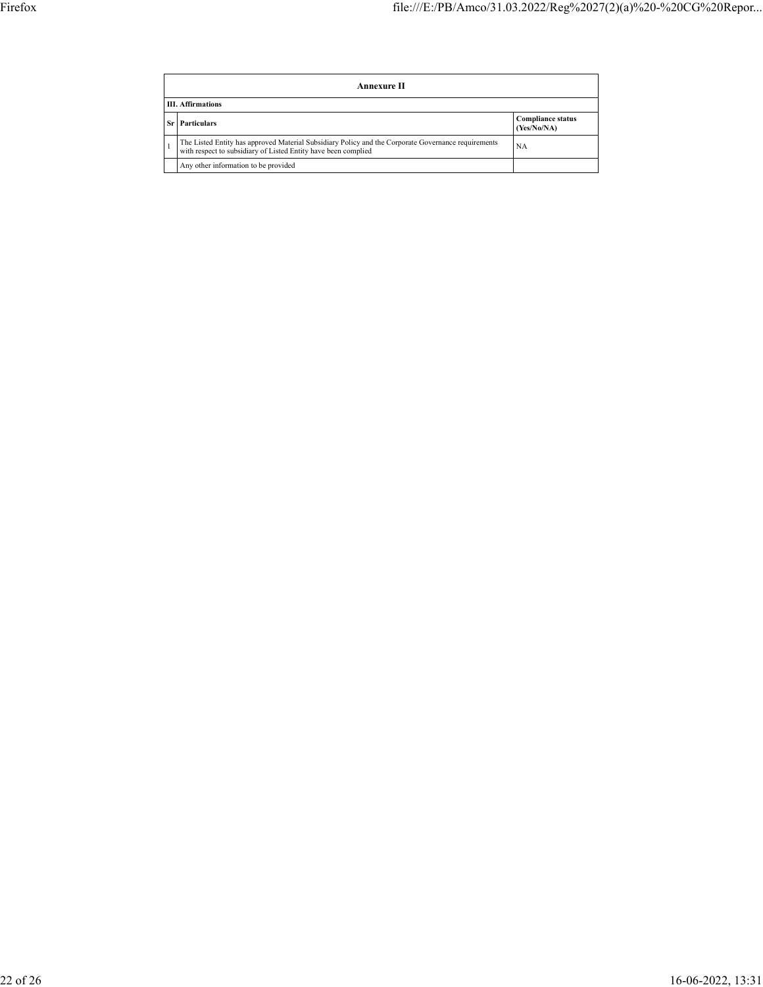| Annexure II                                                                                                                                                           |                                         |  |  |  |
|-----------------------------------------------------------------------------------------------------------------------------------------------------------------------|-----------------------------------------|--|--|--|
| <b>III.</b> Affirmations                                                                                                                                              |                                         |  |  |  |
| <b>Particulars</b>                                                                                                                                                    | <b>Compliance status</b><br>(Yes/No/NA) |  |  |  |
| The Listed Entity has approved Material Subsidiary Policy and the Corporate Governance requirements<br>with respect to subsidiary of Listed Entity have been complied | NA                                      |  |  |  |
| Any other information to be provided                                                                                                                                  |                                         |  |  |  |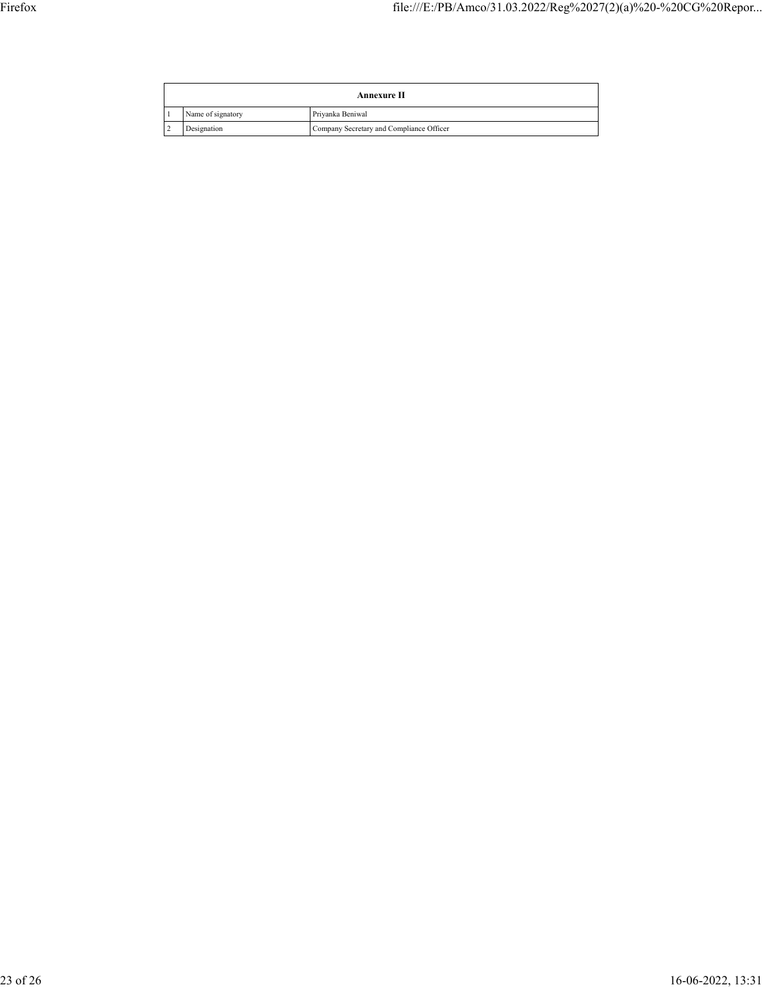| Annexure II |                   |                                          |
|-------------|-------------------|------------------------------------------|
|             | Name of signatory | Privanka Beniwal                         |
| ∸           | Designation       | Company Secretary and Compliance Officer |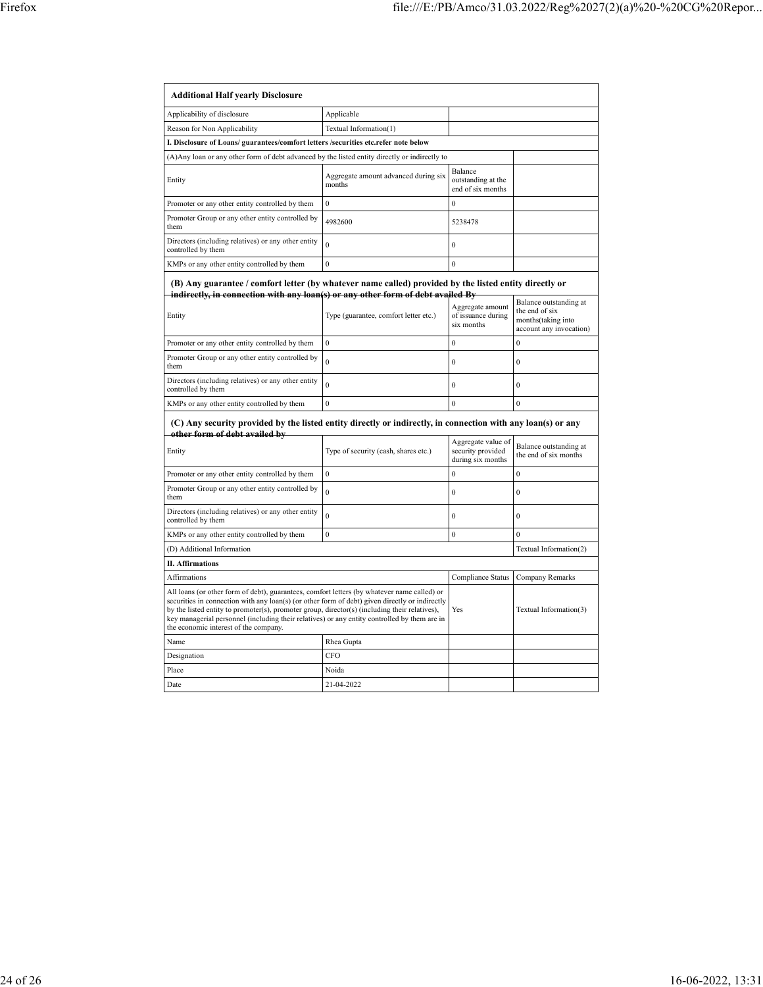| <b>Additional Half yearly Disclosure</b>                                                                                                                                                                                                                                                                                                                                                                                                |                                                |                                                              |                                                                 |
|-----------------------------------------------------------------------------------------------------------------------------------------------------------------------------------------------------------------------------------------------------------------------------------------------------------------------------------------------------------------------------------------------------------------------------------------|------------------------------------------------|--------------------------------------------------------------|-----------------------------------------------------------------|
| Applicability of disclosure                                                                                                                                                                                                                                                                                                                                                                                                             | Applicable                                     |                                                              |                                                                 |
| Reason for Non Applicability                                                                                                                                                                                                                                                                                                                                                                                                            | Textual Information(1)                         |                                                              |                                                                 |
| I. Disclosure of Loans/ guarantees/comfort letters /securities etc.refer note below                                                                                                                                                                                                                                                                                                                                                     |                                                |                                                              |                                                                 |
| (A) Any loan or any other form of debt advanced by the listed entity directly or indirectly to                                                                                                                                                                                                                                                                                                                                          |                                                |                                                              |                                                                 |
| Entity                                                                                                                                                                                                                                                                                                                                                                                                                                  | Aggregate amount advanced during six<br>months | Balance<br>outstanding at the<br>end of six months           |                                                                 |
| Promoter or any other entity controlled by them                                                                                                                                                                                                                                                                                                                                                                                         | $\boldsymbol{0}$                               | $\theta$                                                     |                                                                 |
| Promoter Group or any other entity controlled by<br>them                                                                                                                                                                                                                                                                                                                                                                                | 4982600                                        | 5238478                                                      |                                                                 |
| Directors (including relatives) or any other entity<br>controlled by them                                                                                                                                                                                                                                                                                                                                                               | $\mathbf{0}$                                   | $\mathbf{0}$                                                 |                                                                 |
| KMPs or any other entity controlled by them                                                                                                                                                                                                                                                                                                                                                                                             | $\mathbf{0}$                                   | $\mathbf{0}$                                                 |                                                                 |
| (B) Any guarantee / comfort letter (by whatever name called) provided by the listed entity directly or<br>indirectly, in connection with any loan(s) or any other form of debt availed By                                                                                                                                                                                                                                               |                                                |                                                              | Balance outstanding at                                          |
| Entity                                                                                                                                                                                                                                                                                                                                                                                                                                  | Type (guarantee, comfort letter etc.)          | Aggregate amount<br>of issuance during<br>six months         | the end of six<br>months(taking into<br>account any invocation) |
| Promoter or any other entity controlled by them                                                                                                                                                                                                                                                                                                                                                                                         | $\mathbf{0}$                                   | $\mathbf{0}$                                                 | $\theta$                                                        |
| Promoter Group or any other entity controlled by<br>them                                                                                                                                                                                                                                                                                                                                                                                | $\theta$                                       | $\theta$                                                     | $\theta$                                                        |
| Directors (including relatives) or any other entity<br>controlled by them                                                                                                                                                                                                                                                                                                                                                               | $\mathbf{0}$                                   | $\mathbf{0}$                                                 | $\mathbf{0}$                                                    |
| KMPs or any other entity controlled by them                                                                                                                                                                                                                                                                                                                                                                                             | $\mathbf{0}$                                   | $\mathbf{0}$                                                 | $\mathbf{0}$                                                    |
| (C) Any security provided by the listed entity directly or indirectly, in connection with any loan(s) or any<br>other form of debt availed by                                                                                                                                                                                                                                                                                           |                                                |                                                              |                                                                 |
| Entity                                                                                                                                                                                                                                                                                                                                                                                                                                  | Type of security (cash, shares etc.)           | Aggregate value of<br>security provided<br>during six months | Balance outstanding at<br>the end of six months                 |
| Promoter or any other entity controlled by them                                                                                                                                                                                                                                                                                                                                                                                         | $\mathbf{0}$                                   | $\mathbf{0}$                                                 | $\theta$                                                        |
| Promoter Group or any other entity controlled by<br>them                                                                                                                                                                                                                                                                                                                                                                                | $\mathbf{0}$                                   | $\boldsymbol{0}$                                             | $\mathbf{0}$                                                    |
| Directors (including relatives) or any other entity<br>controlled by them                                                                                                                                                                                                                                                                                                                                                               | $\mathbf{0}$                                   | $\mathbf{0}$                                                 | $\mathbf{0}$                                                    |
| KMPs or any other entity controlled by them                                                                                                                                                                                                                                                                                                                                                                                             | $\mathbf{0}$                                   | $\boldsymbol{0}$                                             | $\theta$                                                        |
| (D) Additional Information                                                                                                                                                                                                                                                                                                                                                                                                              |                                                |                                                              | Textual Information(2)                                          |
| <b>II. Affirmations</b>                                                                                                                                                                                                                                                                                                                                                                                                                 |                                                |                                                              |                                                                 |
| Affirmations                                                                                                                                                                                                                                                                                                                                                                                                                            |                                                | Compliance Status                                            | Company Remarks                                                 |
| All loans (or other form of debt), guarantees, comfort letters (by whatever name called) or<br>securities in connection with any loan(s) (or other form of debt) given directly or indirectly<br>by the listed entity to promoter(s), promoter group, director(s) (including their relatives),<br>key managerial personnel (including their relatives) or any entity controlled by them are in<br>the economic interest of the company. |                                                | Yes                                                          | Textual Information(3)                                          |
| Name                                                                                                                                                                                                                                                                                                                                                                                                                                    | Rhea Gupta                                     |                                                              |                                                                 |
| Designation                                                                                                                                                                                                                                                                                                                                                                                                                             | CFO                                            |                                                              |                                                                 |
| Place                                                                                                                                                                                                                                                                                                                                                                                                                                   | Noida                                          |                                                              |                                                                 |
| Date                                                                                                                                                                                                                                                                                                                                                                                                                                    | 21-04-2022                                     |                                                              |                                                                 |